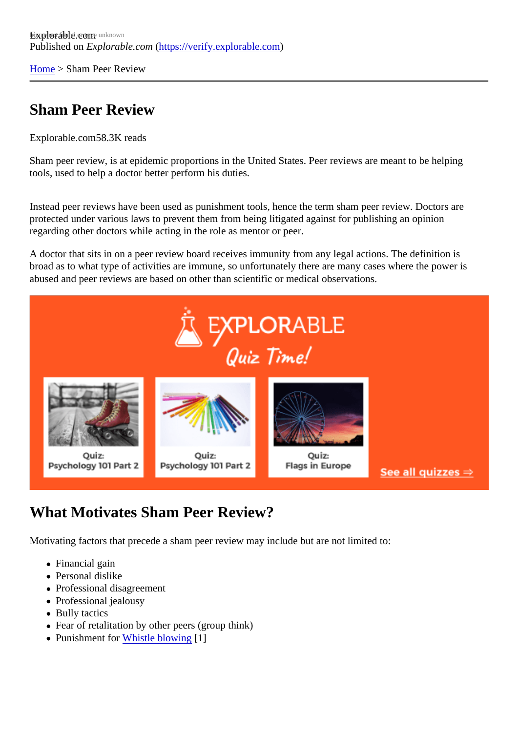[Home](https://verify.explorable.com/)> Sham Peer Review

## Sham Peer Review

Explorable.cor58.3K reads

Sham peer review, is at epidemic proportions in the United States. Peer reviews are meant to be helping tools, used to help a doctor better perform his duties.

Instead peer reviews have been used as punishment tools, hence the term sham peer review. Doctors are protected under various laws to prevent them from being litigated against for publishing an opinion regarding other doctors while acting in the role as mentor or peer.

A doctor that sits in on a peer review board receives immunity from any legal actions. The definition is broad as to what type of activities are immune, so unfortunately there are many cases where the power is abused and peer reviews are based on other than scientific or medical observations.

## What Motivates Sham Peer Review?

Motivating factors that precede a sham peer review may include but are not limited to:

- Financial gain
- Personal dislike
- Professional disagreement
- Professional jealousy
- Bully tactics
- Fear of retalitation by other peers (group think)
- Punishment fo[r Whistle blowing](https://verify.explorable.com/whistleblowers-in-science)[1]